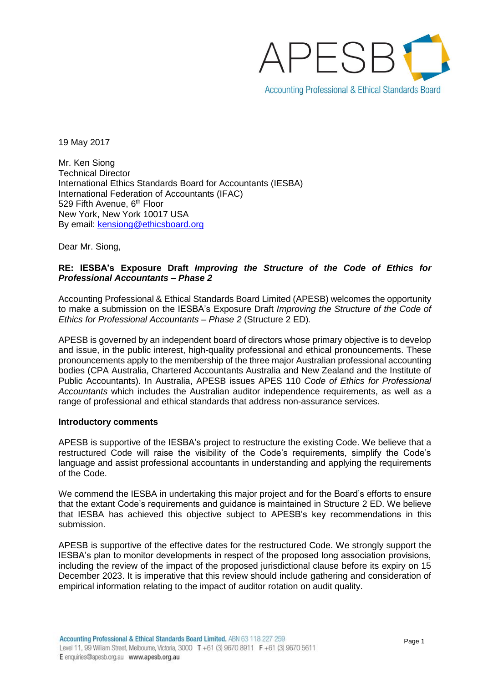

19 May 2017

Mr. Ken Siong Technical Director International Ethics Standards Board for Accountants (IESBA) International Federation of Accountants (IFAC) 529 Fifth Avenue, 6<sup>th</sup> Floor New York, New York 10017 USA By email: [kensiong@ethicsboard.org](mailto:kensiong@ethicsboard.org)

Dear Mr. Siong,

# **RE: IESBA's Exposure Draft** *Improving the Structure of the Code of Ethics for Professional Accountants – Phase 2*

Accounting Professional & Ethical Standards Board Limited (APESB) welcomes the opportunity to make a submission on the IESBA's Exposure Draft *Improving the Structure of the Code of Ethics for Professional Accountants – Phase 2* (Structure 2 ED)*.*

APESB is governed by an independent board of directors whose primary objective is to develop and issue, in the public interest, high-quality professional and ethical pronouncements. These pronouncements apply to the membership of the three major Australian professional accounting bodies (CPA Australia, Chartered Accountants Australia and New Zealand and the Institute of Public Accountants). In Australia, APESB issues APES 110 *Code of Ethics for Professional Accountants* which includes the Australian auditor independence requirements, as well as a range of professional and ethical standards that address non-assurance services.

### **Introductory comments**

APESB is supportive of the IESBA's project to restructure the existing Code. We believe that a restructured Code will raise the visibility of the Code's requirements, simplify the Code's language and assist professional accountants in understanding and applying the requirements of the Code.

We commend the IESBA in undertaking this major project and for the Board's efforts to ensure that the extant Code's requirements and guidance is maintained in Structure 2 ED. We believe that IESBA has achieved this objective subject to APESB's key recommendations in this submission.

APESB is supportive of the effective dates for the restructured Code. We strongly support the IESBA's plan to monitor developments in respect of the proposed long association provisions, including the review of the impact of the proposed jurisdictional clause before its expiry on 15 December 2023. It is imperative that this review should include gathering and consideration of empirical information relating to the impact of auditor rotation on audit quality.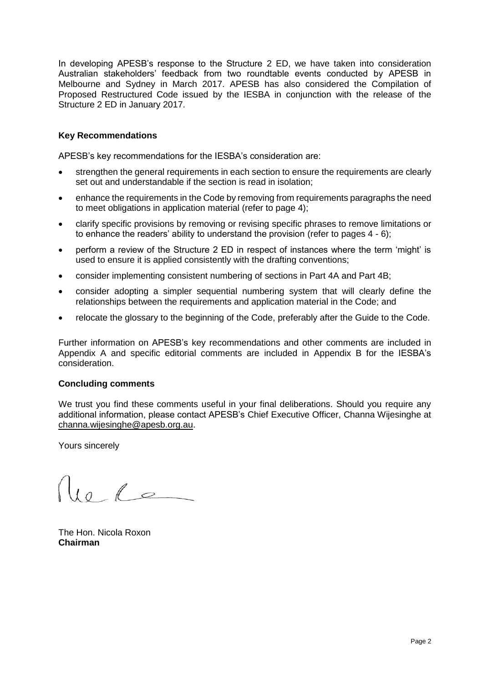In developing APESB's response to the Structure 2 ED, we have taken into consideration Australian stakeholders' feedback from two roundtable events conducted by APESB in Melbourne and Sydney in March 2017. APESB has also considered the Compilation of Proposed Restructured Code issued by the IESBA in conjunction with the release of the Structure 2 ED in January 2017.

# **Key Recommendations**

APESB's key recommendations for the IESBA's consideration are:

- strengthen the general requirements in each section to ensure the requirements are clearly set out and understandable if the section is read in isolation;
- enhance the requirements in the Code by removing from requirements paragraphs the need to meet obligations in application material (refer to page 4);
- clarify specific provisions by removing or revising specific phrases to remove limitations or to enhance the readers' ability to understand the provision (refer to pages 4 - 6);
- perform a review of the Structure 2 ED in respect of instances where the term 'might' is used to ensure it is applied consistently with the drafting conventions;
- consider implementing consistent numbering of sections in Part 4A and Part 4B;
- consider adopting a simpler sequential numbering system that will clearly define the relationships between the requirements and application material in the Code; and
- relocate the glossary to the beginning of the Code, preferably after the Guide to the Code.

Further information on APESB's key recommendations and other comments are included in Appendix A and specific editorial comments are included in Appendix B for the IESBA's consideration.

### **Concluding comments**

We trust you find these comments useful in your final deliberations. Should you require any additional information, please contact APESB's Chief Executive Officer, Channa Wijesinghe at [channa.wijesinghe@apesb.org.au.](mailto:channa.wijesinghe@apesb.org.au)

Yours sincerely

 $\begin{array}{c} \n\sqrt{10} & \sqrt{2}\n\end{array}$ 

The Hon. Nicola Roxon **Chairman**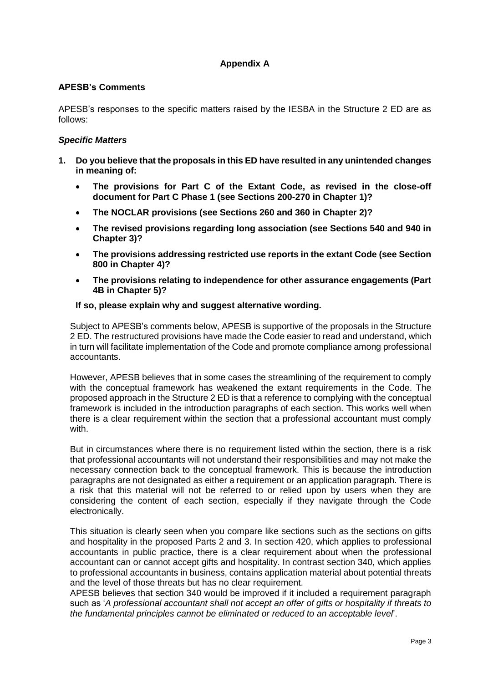# **Appendix A**

# **APESB's Comments**

APESB's responses to the specific matters raised by the IESBA in the Structure 2 ED are as follows:

# *Specific Matters*

- **1. Do you believe that the proposals in this ED have resulted in any unintended changes in meaning of:**
	- **The provisions for Part C of the Extant Code, as revised in the close-off document for Part C Phase 1 (see Sections 200-270 in Chapter 1)?**
	- **The NOCLAR provisions (see Sections 260 and 360 in Chapter 2)?**
	- **The revised provisions regarding long association (see Sections 540 and 940 in Chapter 3)?**
	- **The provisions addressing restricted use reports in the extant Code (see Section 800 in Chapter 4)?**
	- **The provisions relating to independence for other assurance engagements (Part 4B in Chapter 5)?**

# **If so, please explain why and suggest alternative wording.**

Subject to APESB's comments below, APESB is supportive of the proposals in the Structure 2 ED. The restructured provisions have made the Code easier to read and understand, which in turn will facilitate implementation of the Code and promote compliance among professional accountants.

However, APESB believes that in some cases the streamlining of the requirement to comply with the conceptual framework has weakened the extant requirements in the Code. The proposed approach in the Structure 2 ED is that a reference to complying with the conceptual framework is included in the introduction paragraphs of each section. This works well when there is a clear requirement within the section that a professional accountant must comply with.

But in circumstances where there is no requirement listed within the section, there is a risk that professional accountants will not understand their responsibilities and may not make the necessary connection back to the conceptual framework. This is because the introduction paragraphs are not designated as either a requirement or an application paragraph. There is a risk that this material will not be referred to or relied upon by users when they are considering the content of each section, especially if they navigate through the Code electronically.

This situation is clearly seen when you compare like sections such as the sections on gifts and hospitality in the proposed Parts 2 and 3. In section 420, which applies to professional accountants in public practice, there is a clear requirement about when the professional accountant can or cannot accept gifts and hospitality. In contrast section 340, which applies to professional accountants in business, contains application material about potential threats and the level of those threats but has no clear requirement.

APESB believes that section 340 would be improved if it included a requirement paragraph such as '*A professional accountant shall not accept an offer of gifts or hospitality if threats to the fundamental principles cannot be eliminated or reduced to an acceptable level*'.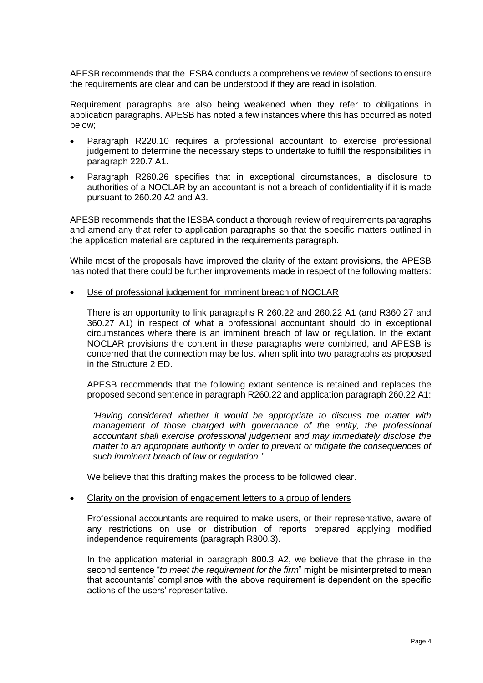APESB recommends that the IESBA conducts a comprehensive review of sections to ensure the requirements are clear and can be understood if they are read in isolation.

Requirement paragraphs are also being weakened when they refer to obligations in application paragraphs. APESB has noted a few instances where this has occurred as noted below;

- Paragraph R220.10 requires a professional accountant to exercise professional judgement to determine the necessary steps to undertake to fulfill the responsibilities in paragraph 220.7 A1.
- Paragraph R260.26 specifies that in exceptional circumstances, a disclosure to authorities of a NOCLAR by an accountant is not a breach of confidentiality if it is made pursuant to 260.20 A2 and A3.

APESB recommends that the IESBA conduct a thorough review of requirements paragraphs and amend any that refer to application paragraphs so that the specific matters outlined in the application material are captured in the requirements paragraph.

While most of the proposals have improved the clarity of the extant provisions, the APESB has noted that there could be further improvements made in respect of the following matters:

Use of professional judgement for imminent breach of NOCLAR

There is an opportunity to link paragraphs R 260.22 and 260.22 A1 (and R360.27 and 360.27 A1) in respect of what a professional accountant should do in exceptional circumstances where there is an imminent breach of law or regulation. In the extant NOCLAR provisions the content in these paragraphs were combined, and APESB is concerned that the connection may be lost when split into two paragraphs as proposed in the Structure 2 ED.

APESB recommends that the following extant sentence is retained and replaces the proposed second sentence in paragraph R260.22 and application paragraph 260.22 A1:

*'Having considered whether it would be appropriate to discuss the matter with management of those charged with governance of the entity, the professional accountant shall exercise professional judgement and may immediately disclose the matter to an appropriate authority in order to prevent or mitigate the consequences of such imminent breach of law or regulation.'*

We believe that this drafting makes the process to be followed clear.

### • Clarity on the provision of engagement letters to a group of lenders

Professional accountants are required to make users, or their representative, aware of any restrictions on use or distribution of reports prepared applying modified independence requirements (paragraph R800.3).

In the application material in paragraph 800.3 A2, we believe that the phrase in the second sentence "*to meet the requirement for the firm*" might be misinterpreted to mean that accountants' compliance with the above requirement is dependent on the specific actions of the users' representative.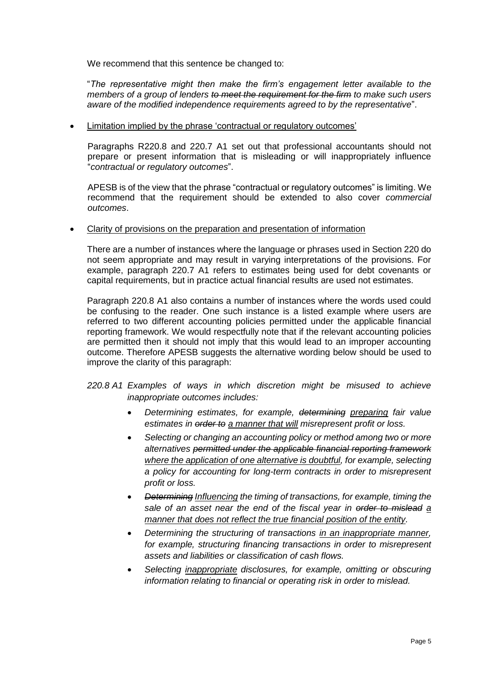We recommend that this sentence be changed to:

"*The representative might then make the firm's engagement letter available to the members of a group of lenders to meet the requirement for the firm to make such users aware of the modified independence requirements agreed to by the representative*".

## • Limitation implied by the phrase 'contractual or regulatory outcomes'

Paragraphs R220.8 and 220.7 A1 set out that professional accountants should not prepare or present information that is misleading or will inappropriately influence "*contractual or regulatory outcomes*".

APESB is of the view that the phrase "contractual or regulatory outcomes" is limiting. We recommend that the requirement should be extended to also cover *commercial outcomes*.

• Clarity of provisions on the preparation and presentation of information

There are a number of instances where the language or phrases used in Section 220 do not seem appropriate and may result in varying interpretations of the provisions. For example, paragraph 220.7 A1 refers to estimates being used for debt covenants or capital requirements, but in practice actual financial results are used not estimates.

Paragraph 220.8 A1 also contains a number of instances where the words used could be confusing to the reader. One such instance is a listed example where users are referred to two different accounting policies permitted under the applicable financial reporting framework. We would respectfully note that if the relevant accounting policies are permitted then it should not imply that this would lead to an improper accounting outcome. Therefore APESB suggests the alternative wording below should be used to improve the clarity of this paragraph:

- *220.8 A1 Examples of ways in which discretion might be misused to achieve inappropriate outcomes includes:* 
	- *Determining estimates, for example, determining preparing fair value estimates in order to a manner that will misrepresent profit or loss.*
	- *Selecting or changing an accounting policy or method among two or more alternatives permitted under the applicable financial reporting framework where the application of one alternative is doubtful, for example, selecting a policy for accounting for long-term contracts in order to misrepresent profit or loss.*
	- *Determining Influencing the timing of transactions, for example, timing the sale of an asset near the end of the fiscal year in order to mislead a manner that does not reflect the true financial position of the entity.*
	- *Determining the structuring of transactions in an inappropriate manner, for example, structuring financing transactions in order to misrepresent assets and liabilities or classification of cash flows.*
	- *Selecting inappropriate disclosures, for example, omitting or obscuring information relating to financial or operating risk in order to mislead.*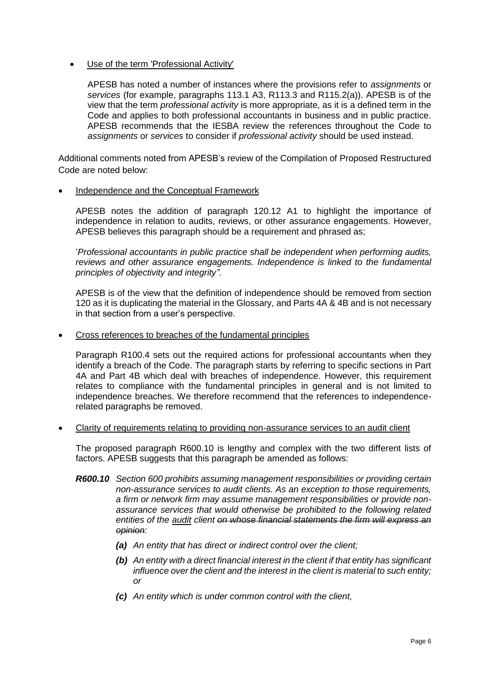Use of the term 'Professional Activity'

APESB has noted a number of instances where the provisions refer to *assignments* or *services* (for example, paragraphs 113.1 A3, R113.3 and R115.2(a)). APESB is of the view that the term *professional activity* is more appropriate, as it is a defined term in the Code and applies to both professional accountants in business and in public practice. APESB recommends that the IESBA review the references throughout the Code to *assignments* or *services* to consider if *professional activity* should be used instead.

Additional comments noted from APESB's review of the Compilation of Proposed Restructured Code are noted below:

## • Independence and the Conceptual Framework

APESB notes the addition of paragraph 120.12 A1 to highlight the importance of independence in relation to audits, reviews, or other assurance engagements. However, APESB believes this paragraph should be a requirement and phrased as;

'*Professional accountants in public practice shall be independent when performing audits, reviews and other assurance engagements. Independence is linked to the fundamental principles of objectivity and integrity"*.

APESB is of the view that the definition of independence should be removed from section 120 as it is duplicating the material in the Glossary, and Parts 4A & 4B and is not necessary in that section from a user's perspective.

• Cross references to breaches of the fundamental principles

Paragraph R100.4 sets out the required actions for professional accountants when they identify a breach of the Code. The paragraph starts by referring to specific sections in Part 4A and Part 4B which deal with breaches of independence. However, this requirement relates to compliance with the fundamental principles in general and is not limited to independence breaches. We therefore recommend that the references to independencerelated paragraphs be removed.

• Clarity of requirements relating to providing non-assurance services to an audit client

The proposed paragraph R600.10 is lengthy and complex with the two different lists of factors. APESB suggests that this paragraph be amended as follows:

- *R600.10 Section 600 prohibits assuming management responsibilities or providing certain non-assurance services to audit clients. As an exception to those requirements, a firm or network firm may assume management responsibilities or provide nonassurance services that would otherwise be prohibited to the following related entities of the audit client on whose financial statements the firm will express an opinion:* 
	- *(a) An entity that has direct or indirect control over the client;*
	- *(b) An entity with a direct financial interest in the client if that entity has significant influence over the client and the interest in the client is material to such entity; or*
	- *(c) An entity which is under common control with the client,*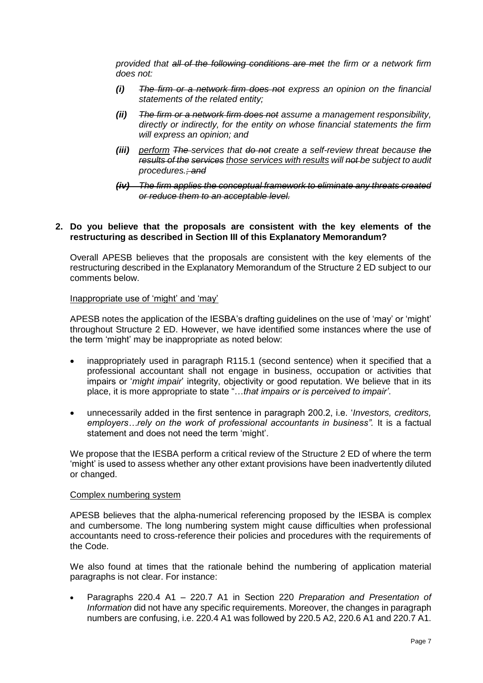*provided that all of the following conditions are met the firm or a network firm does not:*

- *(i) The firm or a network firm does not express an opinion on the financial statements of the related entity;*
- *(ii) The firm or a network firm does not assume a management responsibility, directly or indirectly, for the entity on whose financial statements the firm will express an opinion; and*
- *(iii) perform The services that do not create a self-review threat because the results of the services those services with results will not be subject to audit procedures.; and*
- *(iv) The firm applies the conceptual framework to eliminate any threats created or reduce them to an acceptable level.*

## **2. Do you believe that the proposals are consistent with the key elements of the restructuring as described in Section III of this Explanatory Memorandum?**

Overall APESB believes that the proposals are consistent with the key elements of the restructuring described in the Explanatory Memorandum of the Structure 2 ED subject to our comments below.

## Inappropriate use of 'might' and 'may'

APESB notes the application of the IESBA's drafting guidelines on the use of 'may' or 'might' throughout Structure 2 ED. However, we have identified some instances where the use of the term 'might' may be inappropriate as noted below:

- inappropriately used in paragraph R115.1 (second sentence) when it specified that a professional accountant shall not engage in business, occupation or activities that impairs or '*might impair*' integrity, objectivity or good reputation. We believe that in its place, it is more appropriate to state "…*that impairs or is perceived to impair'*.
- unnecessarily added in the first sentence in paragraph 200.2, i.e. '*Investors, creditors, employers…rely on the work of professional accountants in business".* It is a factual statement and does not need the term 'might'.

We propose that the IESBA perform a critical review of the Structure 2 ED of where the term 'might' is used to assess whether any other extant provisions have been inadvertently diluted or changed.

## Complex numbering system

APESB believes that the alpha-numerical referencing proposed by the IESBA is complex and cumbersome. The long numbering system might cause difficulties when professional accountants need to cross-reference their policies and procedures with the requirements of the Code.

We also found at times that the rationale behind the numbering of application material paragraphs is not clear. For instance:

• Paragraphs 220.4 A1 – 220.7 A1 in Section 220 *Preparation and Presentation of Information* did not have any specific requirements. Moreover, the changes in paragraph numbers are confusing, i.e. 220.4 A1 was followed by 220.5 A2, 220.6 A1 and 220.7 A1.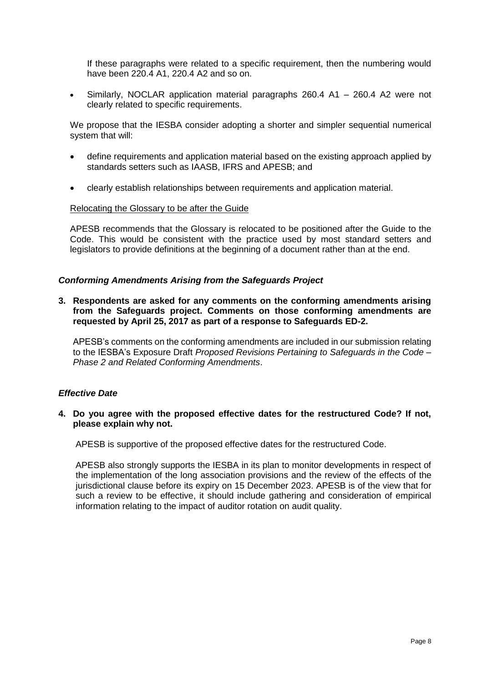If these paragraphs were related to a specific requirement, then the numbering would have been 220.4 A1, 220.4 A2 and so on.

• Similarly, NOCLAR application material paragraphs 260.4 A1 – 260.4 A2 were not clearly related to specific requirements.

We propose that the IESBA consider adopting a shorter and simpler sequential numerical system that will:

- define requirements and application material based on the existing approach applied by standards setters such as IAASB, IFRS and APESB; and
- clearly establish relationships between requirements and application material.

## Relocating the Glossary to be after the Guide

APESB recommends that the Glossary is relocated to be positioned after the Guide to the Code. This would be consistent with the practice used by most standard setters and legislators to provide definitions at the beginning of a document rather than at the end.

### *Conforming Amendments Arising from the Safeguards Project*

**3. Respondents are asked for any comments on the conforming amendments arising from the Safeguards project. Comments on those conforming amendments are requested by April 25, 2017 as part of a response to Safeguards ED-2.**

APESB's comments on the conforming amendments are included in our submission relating to the IESBA's Exposure Draft *Proposed Revisions Pertaining to Safeguards in the Code – Phase 2 and Related Conforming Amendments*.

### *Effective Date*

## **4. Do you agree with the proposed effective dates for the restructured Code? If not, please explain why not.**

APESB is supportive of the proposed effective dates for the restructured Code.

APESB also strongly supports the IESBA in its plan to monitor developments in respect of the implementation of the long association provisions and the review of the effects of the jurisdictional clause before its expiry on 15 December 2023. APESB is of the view that for such a review to be effective, it should include gathering and consideration of empirical information relating to the impact of auditor rotation on audit quality.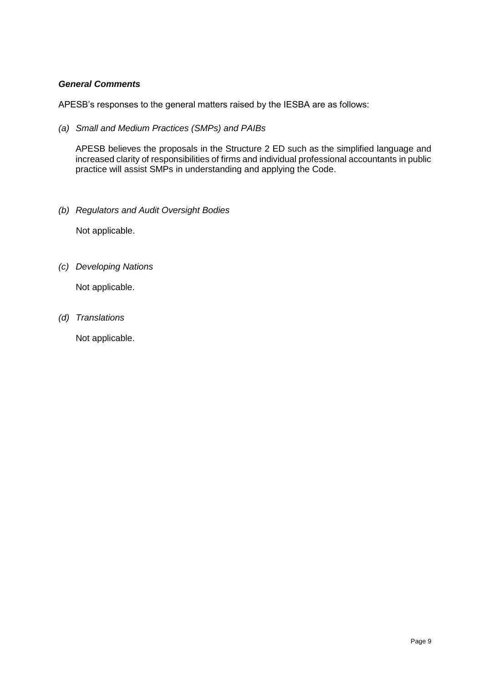# *General Comments*

APESB's responses to the general matters raised by the IESBA are as follows:

*(a) Small and Medium Practices (SMPs) and PAIBs*

APESB believes the proposals in the Structure 2 ED such as the simplified language and increased clarity of responsibilities of firms and individual professional accountants in public practice will assist SMPs in understanding and applying the Code.

*(b) Regulators and Audit Oversight Bodies*

Not applicable.

*(c) Developing Nations*

Not applicable.

*(d) Translations*

Not applicable.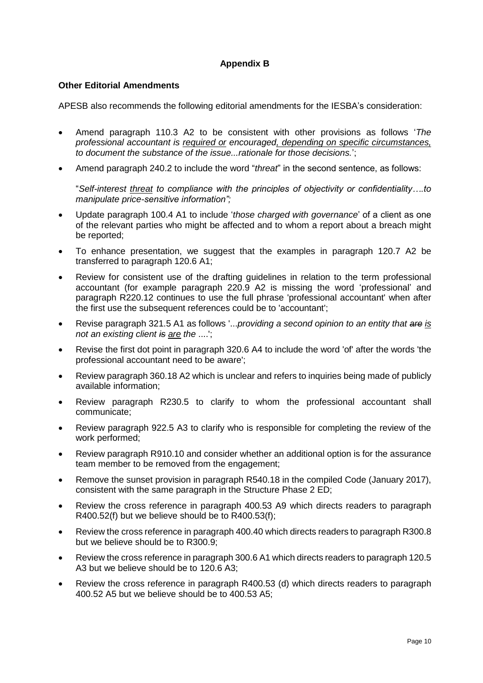# **Appendix B**

## **Other Editorial Amendments**

APESB also recommends the following editorial amendments for the IESBA's consideration:

- Amend paragraph 110.3 A2 to be consistent with other provisions as follows '*The professional accountant is required or encouraged, depending on specific circumstances, to document the substance of the issue...rationale for those decisions.*';
- Amend paragraph 240.2 to include the word "*threat*" in the second sentence, as follows:

"*Self-interest threat to compliance with the principles of objectivity or confidentiality….to manipulate price-sensitive information";*

- Update paragraph 100.4 A1 to include '*those charged with governance*' of a client as one of the relevant parties who might be affected and to whom a report about a breach might be reported;
- To enhance presentation, we suggest that the examples in paragraph 120.7 A2 be transferred to paragraph 120.6 A1;
- Review for consistent use of the drafting guidelines in relation to the term professional accountant (for example paragraph 220.9 A2 is missing the word 'professional' and paragraph R220.12 continues to use the full phrase 'professional accountant' when after the first use the subsequent references could be to 'accountant';
- Revise paragraph 321.5 A1 as follows '...*providing a second opinion to an entity that are is not an existing client is are the* ....';
- Revise the first dot point in paragraph 320.6 A4 to include the word 'of' after the words 'the professional accountant need to be aware';
- Review paragraph 360.18 A2 which is unclear and refers to inquiries being made of publicly available information;
- Review paragraph R230.5 to clarify to whom the professional accountant shall communicate;
- Review paragraph 922.5 A3 to clarify who is responsible for completing the review of the work performed;
- Review paragraph R910.10 and consider whether an additional option is for the assurance team member to be removed from the engagement;
- Remove the sunset provision in paragraph R540.18 in the compiled Code (January 2017), consistent with the same paragraph in the Structure Phase 2 ED;
- Review the cross reference in paragraph 400.53 A9 which directs readers to paragraph R400.52(f) but we believe should be to R400.53(f);
- Review the cross reference in paragraph 400.40 which directs readers to paragraph R300.8 but we believe should be to R300.9;
- Review the cross reference in paragraph 300.6 A1 which directs readers to paragraph 120.5 A3 but we believe should be to 120.6 A3;
- Review the cross reference in paragraph R400.53 (d) which directs readers to paragraph 400.52 A5 but we believe should be to 400.53 A5;